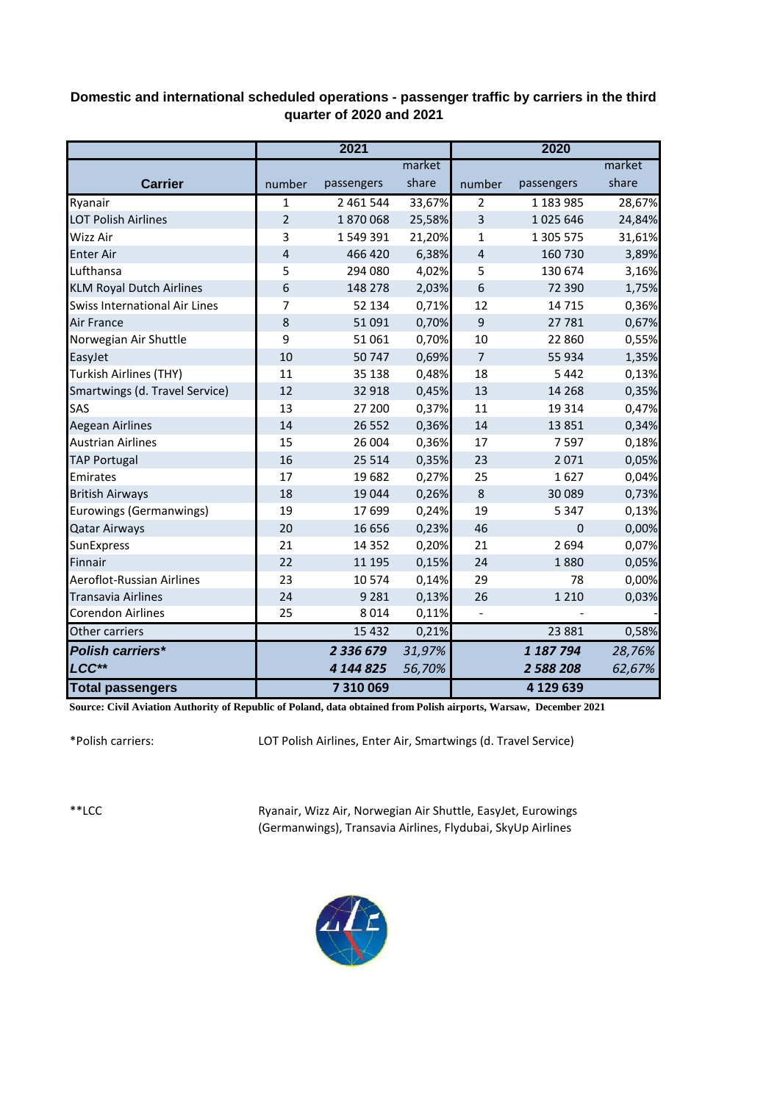## **Domestic and international scheduled operations - passenger traffic by carriers in the third quarter of 2020 and 2021**

|                                 | 2021           |            |        | 2020           |             |        |
|---------------------------------|----------------|------------|--------|----------------|-------------|--------|
|                                 |                |            | market |                |             | market |
| <b>Carrier</b>                  | number         | passengers | share  | number         | passengers  | share  |
| Ryanair                         | $\mathbf 1$    | 2 461 544  | 33,67% | $\overline{2}$ | 1 183 985   | 28,67% |
| <b>LOT Polish Airlines</b>      | $\overline{2}$ | 1870068    | 25,58% | 3              | 1025 646    | 24,84% |
| Wizz Air                        | 3              | 1549391    | 21,20% | 1              | 1 305 575   | 31,61% |
| <b>Enter Air</b>                | $\overline{4}$ | 466 420    | 6,38%  | 4              | 160 730     | 3,89%  |
| Lufthansa                       | 5              | 294 080    | 4,02%  | 5              | 130 674     | 3,16%  |
| <b>KLM Royal Dutch Airlines</b> | 6              | 148 278    | 2,03%  | 6              | 72 390      | 1,75%  |
| Swiss International Air Lines   | $\overline{7}$ | 52 134     | 0,71%  | 12             | 14 7 15     | 0,36%  |
| Air France                      | 8              | 51 091     | 0,70%  | 9              | 27 781      | 0,67%  |
| Norwegian Air Shuttle           | 9              | 51 061     | 0,70%  | 10             | 22 860      | 0,55%  |
| EasyJet                         | 10             | 50747      | 0,69%  | $\overline{7}$ | 55 934      | 1,35%  |
| <b>Turkish Airlines (THY)</b>   | 11             | 35 138     | 0,48%  | 18             | 5 4 4 2     | 0,13%  |
| Smartwings (d. Travel Service)  | 12             | 32 918     | 0,45%  | 13             | 14 2 68     | 0,35%  |
| SAS                             | 13             | 27 200     | 0,37%  | 11             | 19 3 14     | 0,47%  |
| <b>Aegean Airlines</b>          | 14             | 26 5 52    | 0,36%  | 14             | 13 8 51     | 0,34%  |
| <b>Austrian Airlines</b>        | 15             | 26 004     | 0,36%  | 17             | 7597        | 0,18%  |
| <b>TAP Portugal</b>             | 16             | 25 5 14    | 0,35%  | 23             | 2 0 7 1     | 0,05%  |
| Emirates                        | 17             | 19682      | 0,27%  | 25             | 1627        | 0,04%  |
| <b>British Airways</b>          | 18             | 19 044     | 0,26%  | 8              | 30 089      | 0,73%  |
| Eurowings (Germanwings)         | 19             | 17 699     | 0,24%  | 19             | 5 3 4 7     | 0,13%  |
| <b>Qatar Airways</b>            | 20             | 16 656     | 0,23%  | 46             | $\mathbf 0$ | 0,00%  |
| SunExpress                      | 21             | 14 3 5 2   | 0,20%  | 21             | 2 6 9 4     | 0,07%  |
| Finnair                         | 22             | 11 195     | 0,15%  | 24             | 1880        | 0,05%  |
| Aeroflot-Russian Airlines       | 23             | 10574      | 0,14%  | 29             | 78          | 0,00%  |
| <b>Transavia Airlines</b>       | 24             | 9 2 8 1    | 0,13%  | 26             | 1 2 1 0     | 0,03%  |
| <b>Corendon Airlines</b>        | 25             | 8014       | 0,11%  | $\overline{a}$ |             |        |
| Other carriers                  |                | 15 4 32    | 0,21%  |                | 23 8 8 1    | 0,58%  |
| <b>Polish carriers*</b>         |                | 2 336 679  | 31,97% |                | 1 187 794   | 28,76% |
| LCC**                           |                | 4 144 825  | 56,70% |                | 2 588 208   | 62,67% |
| <b>Total passengers</b>         |                | 7 310 069  |        |                | 4 129 639   |        |

**Source: Civil Aviation Authority of Republic of Poland, data obtained from Polish airports, Warsaw, December 2021**

\*Polish carriers:

LOT Polish Airlines, Enter Air, Smartwings (d. Travel Service)

\*\*LCC

Ryanair, Wizz Air, Norwegian Air Shuttle, EasyJet, Eurowings (Germanwings), Transavia Airlines, Flydubai, SkyUp Airlines